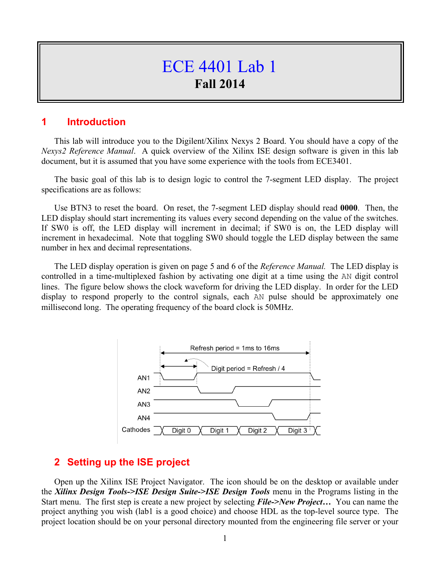## ECE 4401 Lab 1 **Fall 2014**

## **1 Introduction**

This lab will introduce you to the Digilent/Xilinx Nexys 2 Board. You should have a copy of the *Nexys2 Reference Manual*. A quick overview of the Xilinx ISE design software is given in this lab document, but it is assumed that you have some experience with the tools from ECE3401.

The basic goal of this lab is to design logic to control the 7-segment LED display. The project specifications are as follows:

Use BTN3 to reset the board. On reset, the 7-segment LED display should read **0000**. Then, the LED display should start incrementing its values every second depending on the value of the switches. If SW0 is off, the LED display will increment in decimal; if SW0 is on, the LED display will increment in hexadecimal. Note that toggling SW0 should toggle the LED display between the same number in hex and decimal representations.

The LED display operation is given on page 5 and 6 of the *Reference Manual.* The LED display is controlled in a time-multiplexed fashion by activating one digit at a time using the AN digit control lines. The figure below shows the clock waveform for driving the LED display. In order for the LED display to respond properly to the control signals, each AN pulse should be approximately one millisecond long. The operating frequency of the board clock is 50MHz.



## **2 Setting up the ISE project**

Open up the Xilinx ISE Project Navigator. The icon should be on the desktop or available under the *Xilinx Design Tools->ISE Design Suite->ISE Design Tools* menu in the Programs listing in the Start menu. The first step is create a new project by selecting *File->New Project…* You can name the project anything you wish (lab1 is a good choice) and choose HDL as the top-level source type. The project location should be on your personal directory mounted from the engineering file server or your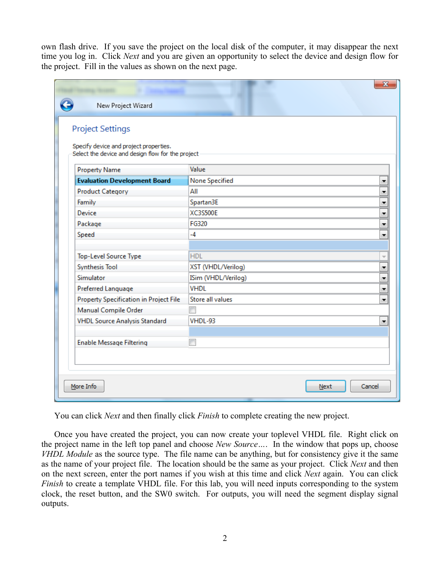own flash drive. If you save the project on the local disk of the computer, it may disappear the next time you log in. Click *Next* and you are given an opportunity to select the device and design flow for the project. Fill in the values as shown on the next page.

| Specify device and project properties.<br>Select the device and design flow for the project |                       |  |
|---------------------------------------------------------------------------------------------|-----------------------|--|
|                                                                                             |                       |  |
|                                                                                             |                       |  |
| <b>Property Name</b>                                                                        | Value                 |  |
| <b>Evaluation Development Board</b>                                                         | <b>None Specified</b> |  |
| <b>Product Category</b>                                                                     | All                   |  |
| Family                                                                                      | Spartan3E             |  |
| Device                                                                                      | <b>XC3S500E</b>       |  |
| Package                                                                                     | FG320                 |  |
| Speed                                                                                       | -4                    |  |
|                                                                                             |                       |  |
| Top-Level Source Type                                                                       | <b>HDL</b>            |  |
| <b>Synthesis Tool</b>                                                                       | XST (VHDL/Verilog)    |  |
| Simulator                                                                                   | ISim (VHDL/Verilog)   |  |
| Preferred Language                                                                          | <b>VHDL</b>           |  |
| Property Specification in Project File                                                      | Store all values      |  |
| Manual Compile Order                                                                        |                       |  |
| <b>VHDL Source Analysis Standard</b>                                                        | VHDL-93               |  |
|                                                                                             |                       |  |

You can click *Next* and then finally click *Finish* to complete creating the new project.

Once you have created the project, you can now create your toplevel VHDL file. Right click on the project name in the left top panel and choose *New Source…*. In the window that pops up, choose *VHDL Module* as the source type. The file name can be anything, but for consistency give it the same as the name of your project file. The location should be the same as your project. Click *Next* and then on the next screen, enter the port names if you wish at this time and click *Next* again. You can click *Finish* to create a template VHDL file. For this lab, you will need inputs corresponding to the system clock, the reset button, and the SW0 switch. For outputs, you will need the segment display signal outputs.